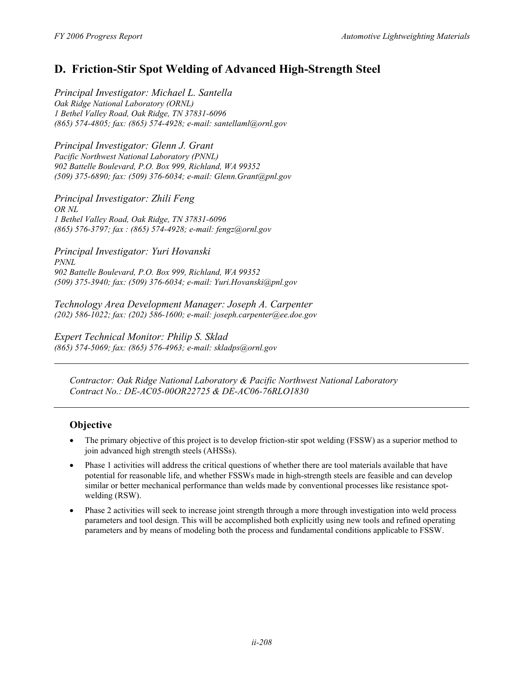# **D. Friction-Stir Spot Welding of Advanced High-Strength Steel**

*Principal Investigator: Michael L. Santella Oak Ridge National Laboratory (ORNL) 1 Bethel Valley Road, Oak Ridge, TN 37831-6096 (865) 574-4805; fax: (865) 574-4928; e-mail: santellaml@ornl.gov* 

*Principal Investigator: Glenn J. Grant Pacific Northwest National Laboratory (PNNL) 902 Battelle Boulevard, P.O. Box 999, Richland, WA 99352 (509) 375-6890; fax: (509) 376-6034; e-mail: Glenn.Grant@pnl.gov* 

*Principal Investigator: Zhili Feng OR NL 1 Bethel Valley Road, Oak Ridge, TN 37831-6096 (865) 576-3797; fax : (865) 574-4928; e-mail: fengz@ornl.gov* 

*Principal Investigator: Yuri Hovanski PNNL 902 Battelle Boulevard, P.O. Box 999, Richland, WA 99352 (509) 375-3940; fax: (509) 376-6034; e-mail: Yuri.Hovanski@pnl.gov* 

*Technology Area Development Manager: Joseph A. Carpenter (202) 586-1022; fax: (202) 586-1600; e-mail: joseph.carpenter@ee.doe.gov* 

*Expert Technical Monitor: Philip S. Sklad (865) 574-5069; fax: (865) 576-4963; e-mail: skladps@ornl.gov* 

*Contractor: Oak Ridge National Laboratory & Pacific Northwest National Laboratory Contract No.: DE-AC05-00OR22725 & DE-AC06-76RLO1830* 

### **Objective**

- The primary objective of this project is to develop friction-stir spot welding (FSSW) as a superior method to join advanced high strength steels (AHSSs).
- Phase 1 activities will address the critical questions of whether there are tool materials available that have potential for reasonable life, and whether FSSWs made in high-strength steels are feasible and can develop similar or better mechanical performance than welds made by conventional processes like resistance spotwelding (RSW).
- Phase 2 activities will seek to increase joint strength through a more through investigation into weld process parameters and tool design. This will be accomplished both explicitly using new tools and refined operating parameters and by means of modeling both the process and fundamental conditions applicable to FSSW.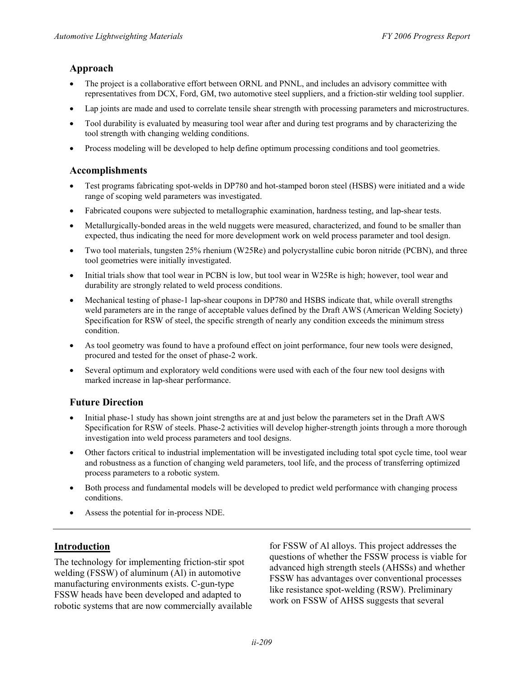### **Approach**

- The project is a collaborative effort between ORNL and PNNL, and includes an advisory committee with representatives from DCX, Ford, GM, two automotive steel suppliers, and a friction-stir welding tool supplier.
- Lap joints are made and used to correlate tensile shear strength with processing parameters and microstructures.
- Tool durability is evaluated by measuring tool wear after and during test programs and by characterizing the tool strength with changing welding conditions.
- Process modeling will be developed to help define optimum processing conditions and tool geometries.

### **Accomplishments**

- Test programs fabricating spot-welds in DP780 and hot-stamped boron steel (HSBS) were initiated and a wide range of scoping weld parameters was investigated.
- Fabricated coupons were subjected to metallographic examination, hardness testing, and lap-shear tests.
- Metallurgically-bonded areas in the weld nuggets were measured, characterized, and found to be smaller than expected, thus indicating the need for more development work on weld process parameter and tool design.
- Two tool materials, tungsten 25% rhenium (W25Re) and polycrystalline cubic boron nitride (PCBN), and three tool geometries were initially investigated.
- Initial trials show that tool wear in PCBN is low, but tool wear in W25Re is high; however, tool wear and durability are strongly related to weld process conditions.
- Mechanical testing of phase-1 lap-shear coupons in DP780 and HSBS indicate that, while overall strengths weld parameters are in the range of acceptable values defined by the Draft AWS (American Welding Society) Specification for RSW of steel, the specific strength of nearly any condition exceeds the minimum stress condition.
- As tool geometry was found to have a profound effect on joint performance, four new tools were designed, procured and tested for the onset of phase-2 work.
- Several optimum and exploratory weld conditions were used with each of the four new tool designs with marked increase in lap-shear performance.

### **Future Direction**

- Initial phase-1 study has shown joint strengths are at and just below the parameters set in the Draft AWS Specification for RSW of steels. Phase-2 activities will develop higher-strength joints through a more thorough investigation into weld process parameters and tool designs.
- Other factors critical to industrial implementation will be investigated including total spot cycle time, tool wear and robustness as a function of changing weld parameters, tool life, and the process of transferring optimized process parameters to a robotic system.
- Both process and fundamental models will be developed to predict weld performance with changing process conditions.
- Assess the potential for in-process NDE.

welding (FSSW) of aluminum (Al) in automotive advanced high strength steels (AHSSs) and whether<br>FSSW has advantages over conventional processes manufacturing environments exists. C-gun-type<br>
FSSW has advantages over conventional processes<br>
FSSW heads have been developed and adapted to<br>
robotic systems that are now commercially available<br>
work on FSSW of AHSS sugge

**Introduction for FSSW of Al alloys. This project addresses the** The technology for implementing friction-stir spot questions of whether the FSSW process is viable for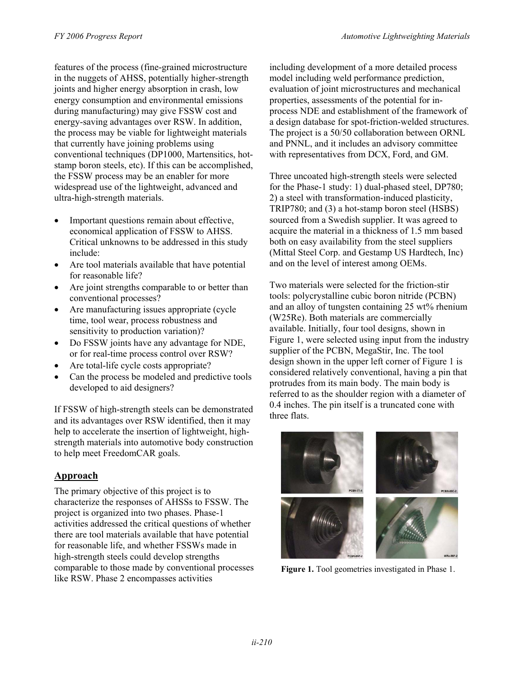features of the process (fine-grained microstructure in the nuggets of AHSS, potentially higher-strength joints and higher energy absorption in crash, low energy consumption and environmental emissions during manufacturing) may give FSSW cost and energy-saving advantages over RSW. In addition, the process may be viable for lightweight materials that currently have joining problems using conventional techniques (DP1000, Martensitics, hotstamp boron steels, etc). If this can be accomplished, the FSSW process may be an enabler for more widespread use of the lightweight, advanced and ultra-high-strength materials.

- Important questions remain about effective, economical application of FSSW to AHSS. Critical unknowns to be addressed in this study include:
- Are tool materials available that have potential for reasonable life?
- Are joint strengths comparable to or better than conventional processes?
- Are manufacturing issues appropriate (cycle time, tool wear, process robustness and sensitivity to production variation)?
- Do FSSW joints have any advantage for NDE, or for real-time process control over RSW?
- Are total-life cycle costs appropriate?
- Can the process be modeled and predictive tools developed to aid designers?

If FSSW of high-strength steels can be demonstrated and its advantages over RSW identified, then it may help to accelerate the insertion of lightweight, highstrength materials into automotive body construction to help meet FreedomCAR goals.

# **Approach**

The primary objective of this project is to characterize the responses of AHSSs to FSSW. The project is organized into two phases. Phase-1 activities addressed the critical questions of whether there are tool materials available that have potential for reasonable life, and whether FSSWs made in high-strength steels could develop strengths comparable to those made by conventional processes like RSW. Phase 2 encompasses activities

including development of a more detailed process model including weld performance prediction, evaluation of joint microstructures and mechanical properties, assessments of the potential for inprocess NDE and establishment of the framework of a design database for spot-friction-welded structures. The project is a 50/50 collaboration between ORNL and PNNL, and it includes an advisory committee with representatives from DCX, Ford, and GM.

Three uncoated high-strength steels were selected for the Phase-1 study: 1) dual-phased steel, DP780; 2) a steel with transformation-induced plasticity, TRIP780; and (3) a hot-stamp boron steel (HSBS) sourced from a Swedish supplier. It was agreed to acquire the material in a thickness of 1.5 mm based both on easy availability from the steel suppliers (Mittal Steel Corp. and Gestamp US Hardtech, Inc) and on the level of interest among OEMs.

Two materials were selected for the friction-stir tools: polycrystalline cubic boron nitride (PCBN) and an alloy of tungsten containing 25 wt% rhenium (W25Re). Both materials are commercially available. Initially, four tool designs, shown in Figure 1, were selected using input from the industry supplier of the PCBN, MegaStir, Inc. The tool design shown in the upper left corner of Figure 1 is considered relatively conventional, having a pin that protrudes from its main body. The main body is referred to as the shoulder region with a diameter of 0.4 inches. The pin itself is a truncated cone with three flats.



**Figure 1.** Tool geometries investigated in Phase 1.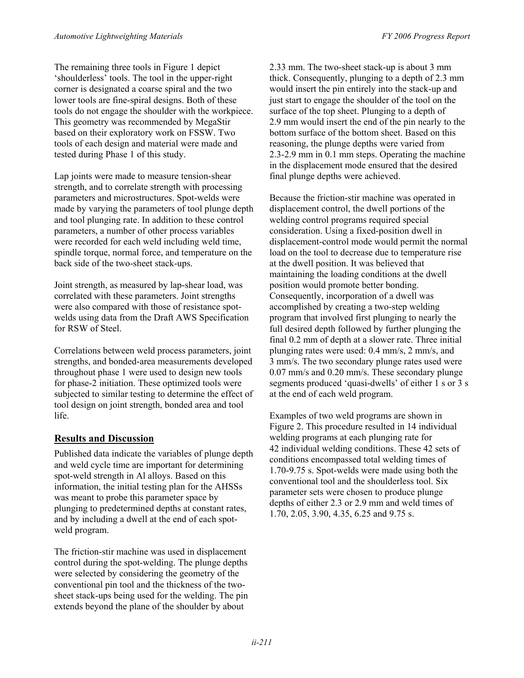The remaining three tools in Figure 1 depict 'shoulderless' tools. The tool in the upper-right corner is designated a coarse spiral and the two lower tools are fine-spiral designs. Both of these tools do not engage the shoulder with the workpiece. This geometry was recommended by MegaStir based on their exploratory work on FSSW. Two tools of each design and material were made and tested during Phase 1 of this study.

Lap joints were made to measure tension-shear strength, and to correlate strength with processing parameters and microstructures. Spot-welds were made by varying the parameters of tool plunge depth and tool plunging rate. In addition to these control parameters, a number of other process variables were recorded for each weld including weld time, spindle torque, normal force, and temperature on the back side of the two-sheet stack-ups.

Joint strength, as measured by lap-shear load, was correlated with these parameters. Joint strengths were also compared with those of resistance spotwelds using data from the Draft AWS Specification for RSW of Steel.

Correlations between weld process parameters, joint strengths, and bonded-area measurements developed throughout phase 1 were used to design new tools for phase-2 initiation. These optimized tools were subjected to similar testing to determine the effect of tool design on joint strength, bonded area and tool life.

### **Results and Discussion**

Published data indicate the variables of plunge depth and weld cycle time are important for determining spot-weld strength in Al alloys. Based on this information, the initial testing plan for the AHSSs was meant to probe this parameter space by plunging to predetermined depths at constant rates, and by including a dwell at the end of each spotweld program.

The friction-stir machine was used in displacement control during the spot-welding. The plunge depths were selected by considering the geometry of the conventional pin tool and the thickness of the twosheet stack-ups being used for the welding. The pin extends beyond the plane of the shoulder by about

2.33 mm. The two-sheet stack-up is about 3 mm thick. Consequently, plunging to a depth of 2.3 mm would insert the pin entirely into the stack-up and just start to engage the shoulder of the tool on the surface of the top sheet. Plunging to a depth of 2.9 mm would insert the end of the pin nearly to the bottom surface of the bottom sheet. Based on this reasoning, the plunge depths were varied from 2.3-2.9 mm in 0.1 mm steps. Operating the machine in the displacement mode ensured that the desired final plunge depths were achieved.

Because the friction-stir machine was operated in displacement control, the dwell portions of the welding control programs required special consideration. Using a fixed-position dwell in displacement-control mode would permit the normal load on the tool to decrease due to temperature rise at the dwell position. It was believed that maintaining the loading conditions at the dwell position would promote better bonding. Consequently, incorporation of a dwell was accomplished by creating a two-step welding program that involved first plunging to nearly the full desired depth followed by further plunging the final 0.2 mm of depth at a slower rate. Three initial plunging rates were used: 0.4 mm/s, 2 mm/s, and 3 mm/s. The two secondary plunge rates used were 0.07 mm/s and 0.20 mm/s. These secondary plunge segments produced 'quasi-dwells' of either 1 s or 3 s at the end of each weld program.

Examples of two weld programs are shown in Figure 2. This procedure resulted in 14 individual welding programs at each plunging rate for 42 individual welding conditions. These 42 sets of conditions encompassed total welding times of 1.70-9.75 s. Spot-welds were made using both the conventional tool and the shoulderless tool. Six parameter sets were chosen to produce plunge depths of either 2.3 or 2.9 mm and weld times of 1.70, 2.05, 3.90, 4.35, 6.25 and 9.75 s.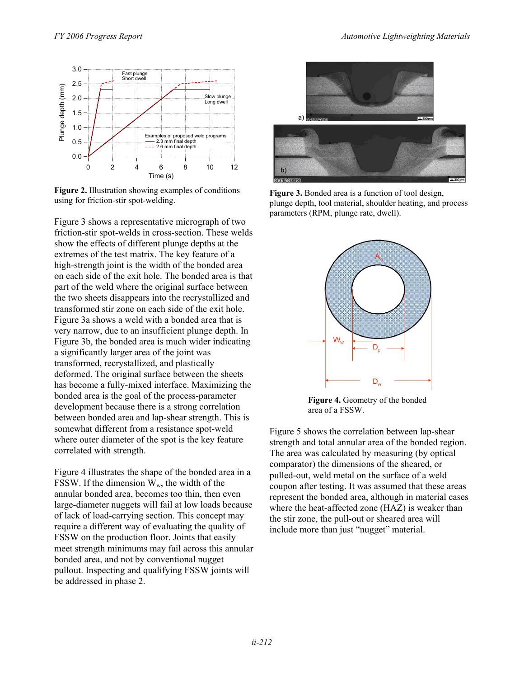

**Figure 2.** Illustration showing examples of conditions using for friction-stir spot-welding.

Figure 3 shows a representative micrograph of two friction-stir spot-welds in cross-section. These welds show the effects of different plunge depths at the extremes of the test matrix. The key feature of a high-strength joint is the width of the bonded area on each side of the exit hole. The bonded area is that part of the weld where the original surface between the two sheets disappears into the recrystallized and transformed stir zone on each side of the exit hole. Figure 3a shows a weld with a bonded area that is very narrow, due to an insufficient plunge depth. In Figure 3b, the bonded area is much wider indicating a significantly larger area of the joint was transformed, recrystallized, and plastically deformed. The original surface between the sheets has become a fully-mixed interface. Maximizing the bonded area is the goal of the process-parameter development because there is a strong correlation between bonded area and lap-shear strength. This is somewhat different from a resistance spot-weld where outer diameter of the spot is the key feature correlated with strength.

Figure 4 illustrates the shape of the bonded area in a FSSW. If the dimension  $W_w$ , the width of the annular bonded area, becomes too thin, then even large-diameter nuggets will fail at low loads because of lack of load-carrying section. This concept may require a different way of evaluating the quality of FSSW on the production floor. Joints that easily meet strength minimums may fail across this annular bonded area, and not by conventional nugget pullout. Inspecting and qualifying FSSW joints will be addressed in phase 2.



**Figure 3.** Bonded area is a function of tool design, plunge depth, tool material, shoulder heating, and process parameters (RPM, plunge rate, dwell).



**Figure 4.** Geometry of the bonded area of a FSSW.

Figure 5 shows the correlation between lap-shear strength and total annular area of the bonded region. The area was calculated by measuring (by optical comparator) the dimensions of the sheared, or pulled-out, weld metal on the surface of a weld coupon after testing. It was assumed that these areas represent the bonded area, although in material cases where the heat-affected zone (HAZ) is weaker than the stir zone, the pull-out or sheared area will include more than just "nugget" material.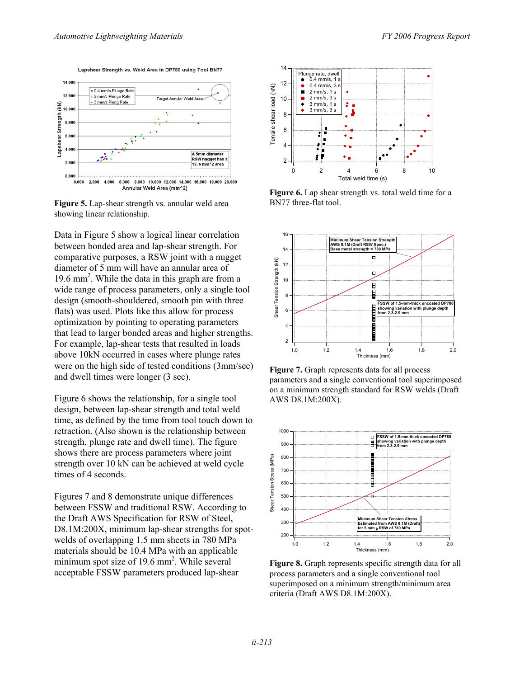Lapshear Strength vs. Weld Area in DP780 using Tool BN77



**Figure 5.** Lap-shear strength vs. annular weld area BN77 three-flat tool. showing linear relationship.

Data in Figure 5 show a logical linear correlation **between bonded area and lap-shear strength.** For **14** AWS 8.1M (Draft RSW Spec.) comparative purposes, a RSW joint with a nugget diameter of 5 mm will have an annular area of 19.6 mm<sup>2</sup>. While the data in this graph are from a wide range of process parameters, only a single tool design (smooth-shouldered, smooth pin with three flats) was used. Plots like this allow for process optimization by pointing to operating parameters that lead to larger bonded areas and higher strengths. For example, lap-shear tests that resulted in loads above 10kN occurred in cases where plunge rates were on the high side of tested conditions (3mm/sec) and dwell times were longer (3 sec).

Figure 6 shows the relationship, for a single tool design, between lap-shear strength and total weld time, as defined by the time from tool touch down to retraction. (Also shown is the relationship between strength, plunge rate and dwell time). The figure shows there are process parameters where joint strength over 10 kN can be achieved at weld cycle times of 4 seconds. between FSSW and traditional RSW. According to seems the SSSW and traditional RSW. According to seems and traditional RSW. According to  $\frac{1}{2}$ 

Figures 7 and 8 demonstrate unique differences the Draft AWS Specification for RSW of Steel, D8.1M:200X, minimum lap-shear strengths for spotwelds of overlapping 1.5 mm sheets in 780 MPa materials should be 10.4 MPa with an applicable minimum spot size of 19.6 mm<sup>2</sup>. While several acceptable FSSW parameters produced lap-shear



Figure 6. Lap shear strength vs. total weld time for a



**Figure 7.** Graph represents data for all process parameters and a single conventional tool superimposed on a minimum strength standard for RSW welds (Draft AWS D8.1M:200X).



Figure 8. Graph represents specific strength data for all process parameters and a single conventional tool superimposed on a minimum strength/minimum area criteria (Draft AWS D8.1M:200X).